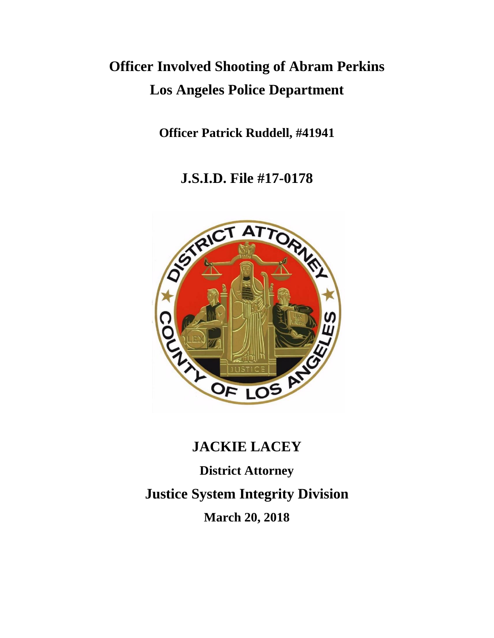## **Officer Involved Shooting of Abram Perkins Los Angeles Police Department**

**Officer Patrick Ruddell, #41941**

**J.S.I.D. File #17-0178**



# **JACKIE LACEY District Attorney Justice System Integrity Division March 20, 2018**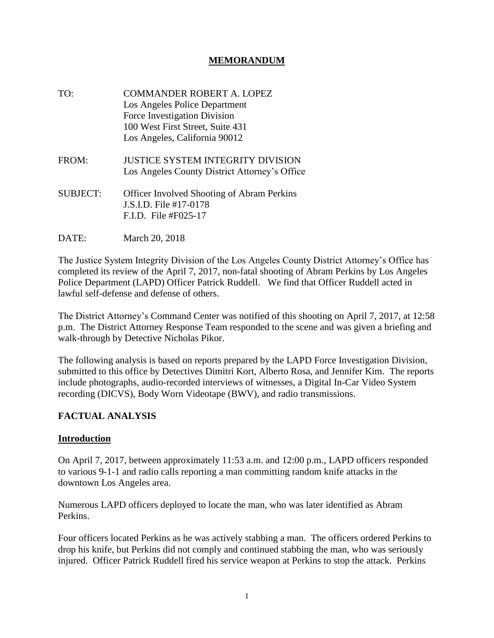#### **MEMORANDUM**

- TO: COMMANDER ROBERT A. LOPEZ Los Angeles Police Department Force Investigation Division 100 West First Street, Suite 431 Los Angeles, California 90012 FROM: JUSTICE SYSTEM INTEGRITY DIVISION Los Angeles County District Attorney's Office SUBJECT: Officer Involved Shooting of Abram Perkins J.S.I.D. File #17-0178 F.I.D. File #F025-17
- DATE: March 20, 2018

The Justice System Integrity Division of the Los Angeles County District Attorney's Office has completed its review of the April 7, 2017, non-fatal shooting of Abram Perkins by Los Angeles Police Department (LAPD) Officer Patrick Ruddell. We find that Officer Ruddell acted in lawful self-defense and defense of others.

The District Attorney's Command Center was notified of this shooting on April 7, 2017, at 12:58 p.m. The District Attorney Response Team responded to the scene and was given a briefing and walk-through by Detective Nicholas Pikor.

The following analysis is based on reports prepared by the LAPD Force Investigation Division, submitted to this office by Detectives Dimitri Kort, Alberto Rosa, and Jennifer Kim. The reports include photographs, audio-recorded interviews of witnesses, a Digital In-Car Video System recording (DICVS), Body Worn Videotape (BWV), and radio transmissions.

#### **FACTUAL ANALYSIS**

#### **Introduction**

On April 7, 2017, between approximately 11:53 a.m. and 12:00 p.m., LAPD officers responded to various 9-1-1 and radio calls reporting a man committing random knife attacks in the downtown Los Angeles area.

Numerous LAPD officers deployed to locate the man, who was later identified as Abram Perkins.

Four officers located Perkins as he was actively stabbing a man. The officers ordered Perkins to drop his knife, but Perkins did not comply and continued stabbing the man, who was seriously injured. Officer Patrick Ruddell fired his service weapon at Perkins to stop the attack. Perkins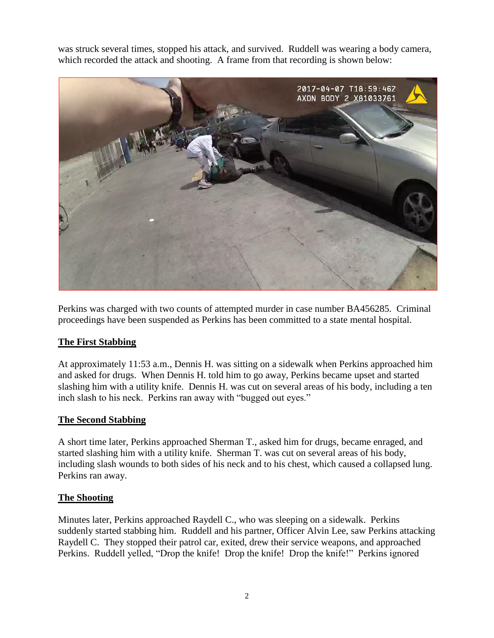was struck several times, stopped his attack, and survived. Ruddell was wearing a body camera, which recorded the attack and shooting. A frame from that recording is shown below:



Perkins was charged with two counts of attempted murder in case number BA456285. Criminal proceedings have been suspended as Perkins has been committed to a state mental hospital.

#### **The First Stabbing**

At approximately 11:53 a.m., Dennis H. was sitting on a sidewalk when Perkins approached him and asked for drugs. When Dennis H. told him to go away, Perkins became upset and started slashing him with a utility knife. Dennis H. was cut on several areas of his body, including a ten inch slash to his neck. Perkins ran away with "bugged out eyes."

#### **The Second Stabbing**

A short time later, Perkins approached Sherman T., asked him for drugs, became enraged, and started slashing him with a utility knife. Sherman T. was cut on several areas of his body, including slash wounds to both sides of his neck and to his chest, which caused a collapsed lung. Perkins ran away.

#### **The Shooting**

Minutes later, Perkins approached Raydell C., who was sleeping on a sidewalk. Perkins suddenly started stabbing him. Ruddell and his partner, Officer Alvin Lee, saw Perkins attacking Raydell C. They stopped their patrol car, exited, drew their service weapons, and approached Perkins. Ruddell yelled, "Drop the knife! Drop the knife! Drop the knife!" Perkins ignored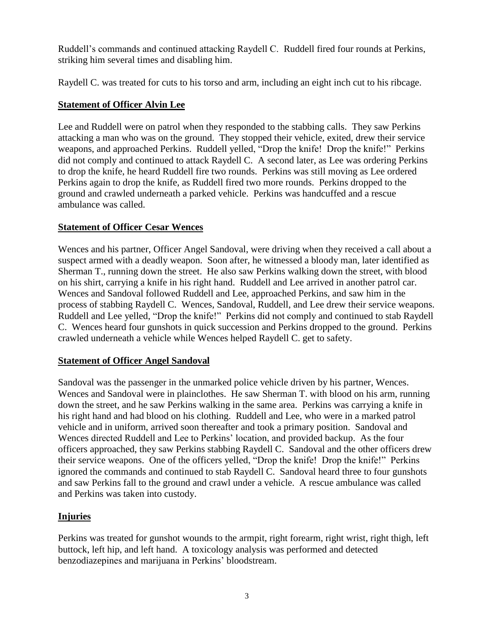Ruddell's commands and continued attacking Raydell C. Ruddell fired four rounds at Perkins, striking him several times and disabling him.

Raydell C. was treated for cuts to his torso and arm, including an eight inch cut to his ribcage.

#### **Statement of Officer Alvin Lee**

Lee and Ruddell were on patrol when they responded to the stabbing calls. They saw Perkins attacking a man who was on the ground. They stopped their vehicle, exited, drew their service weapons, and approached Perkins. Ruddell yelled, "Drop the knife! Drop the knife!" Perkins did not comply and continued to attack Raydell C. A second later, as Lee was ordering Perkins to drop the knife, he heard Ruddell fire two rounds. Perkins was still moving as Lee ordered Perkins again to drop the knife, as Ruddell fired two more rounds. Perkins dropped to the ground and crawled underneath a parked vehicle. Perkins was handcuffed and a rescue ambulance was called.

### **Statement of Officer Cesar Wences**

Wences and his partner, Officer Angel Sandoval, were driving when they received a call about a suspect armed with a deadly weapon. Soon after, he witnessed a bloody man, later identified as Sherman T., running down the street. He also saw Perkins walking down the street, with blood on his shirt, carrying a knife in his right hand. Ruddell and Lee arrived in another patrol car. Wences and Sandoval followed Ruddell and Lee, approached Perkins, and saw him in the process of stabbing Raydell C. Wences, Sandoval, Ruddell, and Lee drew their service weapons. Ruddell and Lee yelled, "Drop the knife!" Perkins did not comply and continued to stab Raydell C. Wences heard four gunshots in quick succession and Perkins dropped to the ground. Perkins crawled underneath a vehicle while Wences helped Raydell C. get to safety.

## **Statement of Officer Angel Sandoval**

Sandoval was the passenger in the unmarked police vehicle driven by his partner, Wences. Wences and Sandoval were in plainclothes. He saw Sherman T. with blood on his arm, running down the street, and he saw Perkins walking in the same area. Perkins was carrying a knife in his right hand and had blood on his clothing. Ruddell and Lee, who were in a marked patrol vehicle and in uniform, arrived soon thereafter and took a primary position. Sandoval and Wences directed Ruddell and Lee to Perkins' location, and provided backup. As the four officers approached, they saw Perkins stabbing Raydell C. Sandoval and the other officers drew their service weapons. One of the officers yelled, "Drop the knife! Drop the knife!" Perkins ignored the commands and continued to stab Raydell C. Sandoval heard three to four gunshots and saw Perkins fall to the ground and crawl under a vehicle. A rescue ambulance was called and Perkins was taken into custody.

## **Injuries**

Perkins was treated for gunshot wounds to the armpit, right forearm, right wrist, right thigh, left buttock, left hip, and left hand. A toxicology analysis was performed and detected benzodiazepines and marijuana in Perkins' bloodstream.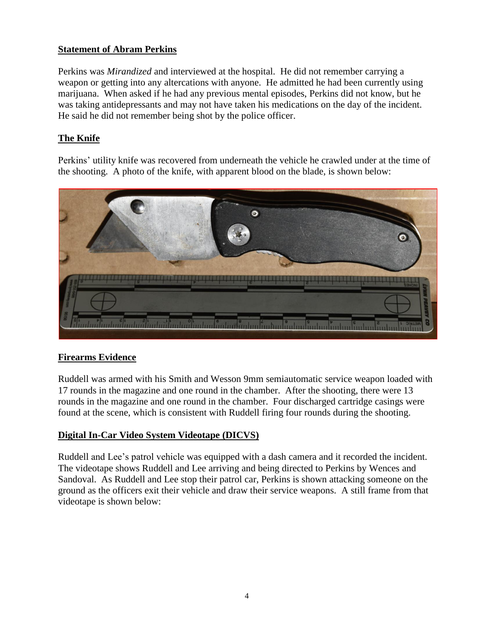### **Statement of Abram Perkins**

Perkins was *Mirandized* and interviewed at the hospital. He did not remember carrying a weapon or getting into any altercations with anyone. He admitted he had been currently using marijuana. When asked if he had any previous mental episodes, Perkins did not know, but he was taking antidepressants and may not have taken his medications on the day of the incident. He said he did not remember being shot by the police officer.

## **The Knife**

Perkins' utility knife was recovered from underneath the vehicle he crawled under at the time of the shooting. A photo of the knife, with apparent blood on the blade, is shown below:



## **Firearms Evidence**

Ruddell was armed with his Smith and Wesson 9mm semiautomatic service weapon loaded with 17 rounds in the magazine and one round in the chamber. After the shooting, there were 13 rounds in the magazine and one round in the chamber. Four discharged cartridge casings were found at the scene, which is consistent with Ruddell firing four rounds during the shooting.

## **Digital In-Car Video System Videotape (DICVS)**

Ruddell and Lee's patrol vehicle was equipped with a dash camera and it recorded the incident. The videotape shows Ruddell and Lee arriving and being directed to Perkins by Wences and Sandoval. As Ruddell and Lee stop their patrol car, Perkins is shown attacking someone on the ground as the officers exit their vehicle and draw their service weapons. A still frame from that videotape is shown below: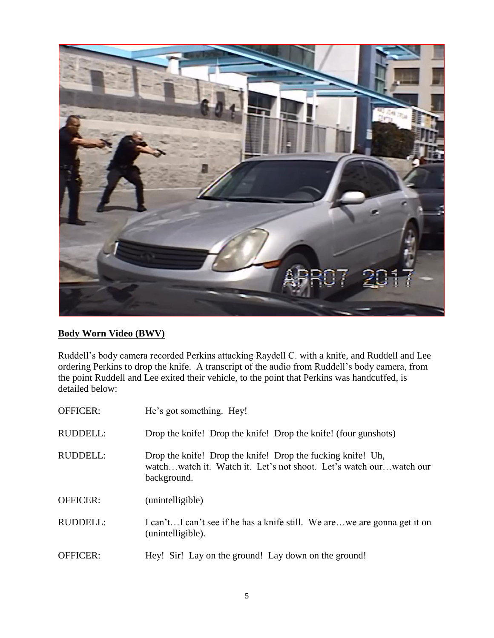

## **Body Worn Video (BWV)**

Ruddell's body camera recorded Perkins attacking Raydell C. with a knife, and Ruddell and Lee ordering Perkins to drop the knife. A transcript of the audio from Ruddell's body camera, from the point Ruddell and Lee exited their vehicle, to the point that Perkins was handcuffed, is detailed below:

| <b>OFFICER:</b> | He's got something. Hey!                                                                                                                         |
|-----------------|--------------------------------------------------------------------------------------------------------------------------------------------------|
| <b>RUDDELL:</b> | Drop the knife! Drop the knife! Drop the knife! (four gunshots)                                                                                  |
| <b>RUDDELL:</b> | Drop the knife! Drop the knife! Drop the fucking knife! Uh,<br>watchwatch it. Watch it. Let's not shoot. Let's watch ourwatch our<br>background. |
| <b>OFFICER:</b> | (unintelligible)                                                                                                                                 |
| <b>RUDDELL:</b> | I can'tI can't see if he has a knife still. We arewe are gonna get it on<br>(unintelligible).                                                    |
| <b>OFFICER:</b> | Hey! Sir! Lay on the ground! Lay down on the ground!                                                                                             |